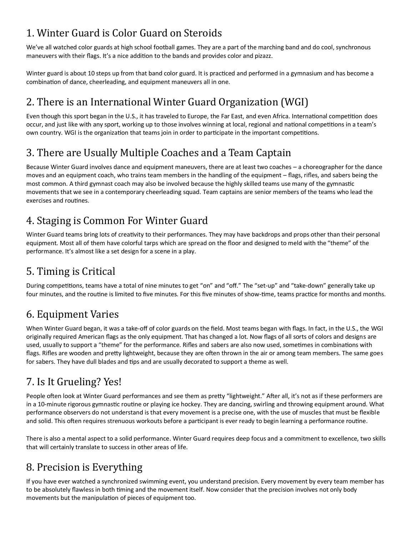# 1. Winter Guard is Color Guard on Steroids

We've all watched [color guards](https://en.wikipedia.org/wiki/Color_guard_(flag_spinning)) at high school football games. They are a part of the marching band and do cool, synchronous maneuvers with their flags. It's a nice addition to the bands and provides color and pizazz.

Winter guard is about 10 steps up from that band color guard. It is practiced and performed in a gymnasium and has become a combination of dance, cheerleading, and equipment maneuvers all in one.

## 2. There is an International Winter Guard Organization (WGI)

Even though this sport began in the U.S., it has traveled to Europe, the Far East, and even Africa. International competition does occur, and just like with any sport, working up to those involves winning at local, regional and national competitions in a team's own country. [WGI is the organization](http://wgi.org/contents/What-is-WGI.html) that teams join in order to participate in the important competitions.

#### 3. There are Usually Multiple Coaches and a Team Captain

Because Winter Guard involves dance and equipment maneuvers, there are at least two coaches – a choreographer for the dance moves and an equipment coach, who trains team members in the handling of the equipment – flags, rifles, and sabers being the most common. A third gymnast coach may also be involved because the highly skilled teams use many of the gymnastic movements that we see in a contemporary cheerleading squad. Team captains are senior members of the teams who lead the exercises and routines.

## 4. Staging is Common For Winter Guard

Winter Guard teams bring lots of creativity to their performances. They may have [backdrops and props other than their personal](http://winterguardtarps.com/2016/10/24/winter-guard-sport-you-never-heard-of/)  [equipment.](http://winterguardtarps.com/2016/10/24/winter-guard-sport-you-never-heard-of/) Most all of them have colorful tarps which are spread on the floor and designed to meld with the "theme" of the performance. It's almost like a set design for a scene in a play.

## 5. Timing is Critical

During competitions, teams have a total of nine minutes to get "on" and "off." The "set-up" and "take-down" generally take up four minutes, and the routine is limited to five minutes. For this five minutes of show-time, teams practice for months and months.

## 6. Equipment Varies

When Winter Guard began, it was a take-off of color guards on the field. Most teams began with flags. In fact, in the U.S., the WGI originally required American flags as the only equipment. That has changed a lot. Now flags of all sorts of colors and designs are used, usually to support a "theme" for the performance. Rifles and sabers are also now used, sometimes in combinations with flags. Rifles are wooden and pretty lightweight, because they are often thrown in the air or among team members. The same goes for sabers. They have dull blades and tips and are usually decorated to support a theme as well.

# 7. Is It Grueling? Yes!

People often look at Winter Guard performances and see them as pretty "lightweight." After all, it's not as if these performers are in a 10-minute rigorous gymnastic routine or playing ice hockey. They are dancing, swirling and throwing equipment around. What performance observers do not understand is that every movement is a precise one, with the use of muscles that must be flexible and solid. This often requires strenuous workouts before a participant is ever ready to begin learning a performance routine.

There is also a [mental aspect to a solid performance.](http://www.lifehack.org/articles/communication/peak-your-performance-6-easy-steps.html) Winter Guard requires deep focus and a commitment to excellence, two skills that will certainly translate to success in other areas of life.

## 8. Precision is Everything

If you have ever watched a synchronized swimming event, you understand precision. Every movement by every team member has to be absolutely flawless in both timing and the movement itself. Now consider that the precision involves not only body movements but the manipulation of pieces of equipment too.